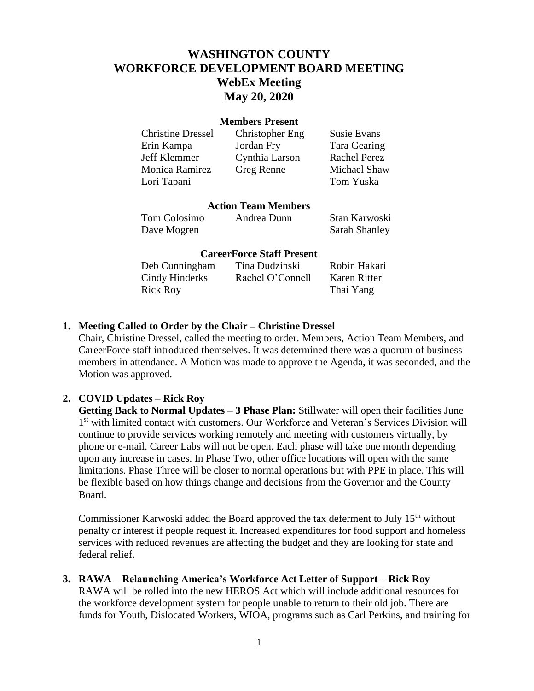# **WASHINGTON COUNTY WORKFORCE DEVELOPMENT BOARD MEETING WebEx Meeting May 20, 2020**

#### **Members Present**

| <b>Christine Dressel</b> | Christopher Eng | <b>Susie Evans</b>  |
|--------------------------|-----------------|---------------------|
| Erin Kampa               | Jordan Fry      | Tara Gearing        |
| Jeff Klemmer             | Cynthia Larson  | <b>Rachel Perez</b> |
| Monica Ramirez           | Greg Renne      | Michael Shaw        |
| Lori Tapani              |                 | Tom Yuska           |
|                          |                 |                     |

#### **Action Team Members**

Tom Colosimo Andrea Dunn Stan Karwoski Dave Mogren Sarah Shanley

#### **CareerForce Staff Present**

| Deb Cunningham | Tina Dudzinski   | Robin Hakari |
|----------------|------------------|--------------|
| Cindy Hinderks | Rachel O'Connell | Karen Ritter |
| Rick Roy       |                  | Thai Yang    |

### **1. Meeting Called to Order by the Chair – Christine Dressel**

Chair, Christine Dressel, called the meeting to order. Members, Action Team Members, and CareerForce staff introduced themselves. It was determined there was a quorum of business members in attendance. A Motion was made to approve the Agenda, it was seconded, and the Motion was approved.

### **2. COVID Updates – Rick Roy**

**Getting Back to Normal Updates – 3 Phase Plan:** Stillwater will open their facilities June 1<sup>st</sup> with limited contact with customers. Our Workforce and Veteran's Services Division will continue to provide services working remotely and meeting with customers virtually, by phone or e-mail. Career Labs will not be open. Each phase will take one month depending upon any increase in cases. In Phase Two, other office locations will open with the same limitations. Phase Three will be closer to normal operations but with PPE in place. This will be flexible based on how things change and decisions from the Governor and the County Board.

Commissioner Karwoski added the Board approved the tax deferment to July  $15<sup>th</sup>$  without penalty or interest if people request it. Increased expenditures for food support and homeless services with reduced revenues are affecting the budget and they are looking for state and federal relief.

#### **3. RAWA – Relaunching America's Workforce Act Letter of Support – Rick Roy**

RAWA will be rolled into the new HEROS Act which will include additional resources for the workforce development system for people unable to return to their old job. There are funds for Youth, Dislocated Workers, WIOA, programs such as Carl Perkins, and training for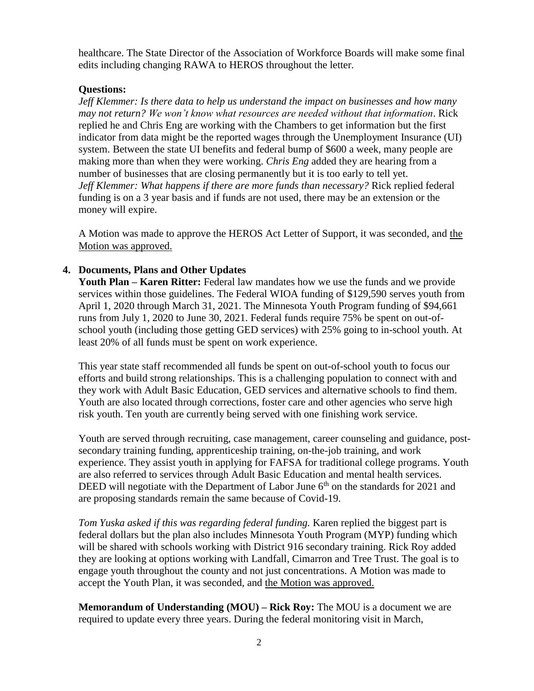healthcare. The State Director of the Association of Workforce Boards will make some final edits including changing RAWA to HEROS throughout the letter.

### **Questions:**

*Jeff Klemmer: Is there data to help us understand the impact on businesses and how many may not return? We won't know what resources are needed without that information*. Rick replied he and Chris Eng are working with the Chambers to get information but the first indicator from data might be the reported wages through the Unemployment Insurance (UI) system. Between the state UI benefits and federal bump of \$600 a week, many people are making more than when they were working. *Chris Eng* added they are hearing from a number of businesses that are closing permanently but it is too early to tell yet. *Jeff Klemmer: What happens if there are more funds than necessary?* Rick replied federal funding is on a 3 year basis and if funds are not used, there may be an extension or the money will expire.

A Motion was made to approve the HEROS Act Letter of Support, it was seconded, and the Motion was approved.

# **4. Documents, Plans and Other Updates**

**Youth Plan – Karen Ritter:** Federal law mandates how we use the funds and we provide services within those guidelines. The Federal WIOA funding of \$129,590 serves youth from April 1, 2020 through March 31, 2021. The Minnesota Youth Program funding of \$94,661 runs from July 1, 2020 to June 30, 2021. Federal funds require 75% be spent on out-ofschool youth (including those getting GED services) with 25% going to in-school youth. At least 20% of all funds must be spent on work experience.

This year state staff recommended all funds be spent on out-of-school youth to focus our efforts and build strong relationships. This is a challenging population to connect with and they work with Adult Basic Education, GED services and alternative schools to find them. Youth are also located through corrections, foster care and other agencies who serve high risk youth. Ten youth are currently being served with one finishing work service.

Youth are served through recruiting, case management, career counseling and guidance, postsecondary training funding, apprenticeship training, on-the-job training, and work experience. They assist youth in applying for FAFSA for traditional college programs. Youth are also referred to services through Adult Basic Education and mental health services. DEED will negotiate with the Department of Labor June  $6<sup>th</sup>$  on the standards for 2021 and are proposing standards remain the same because of Covid-19.

*Tom Yuska asked if this was regarding federal funding.* Karen replied the biggest part is federal dollars but the plan also includes Minnesota Youth Program (MYP) funding which will be shared with schools working with District 916 secondary training. Rick Roy added they are looking at options working with Landfall, Cimarron and Tree Trust. The goal is to engage youth throughout the county and not just concentrations. A Motion was made to accept the Youth Plan, it was seconded, and the Motion was approved.

**Memorandum of Understanding (MOU) – Rick Roy:** The MOU is a document we are required to update every three years. During the federal monitoring visit in March,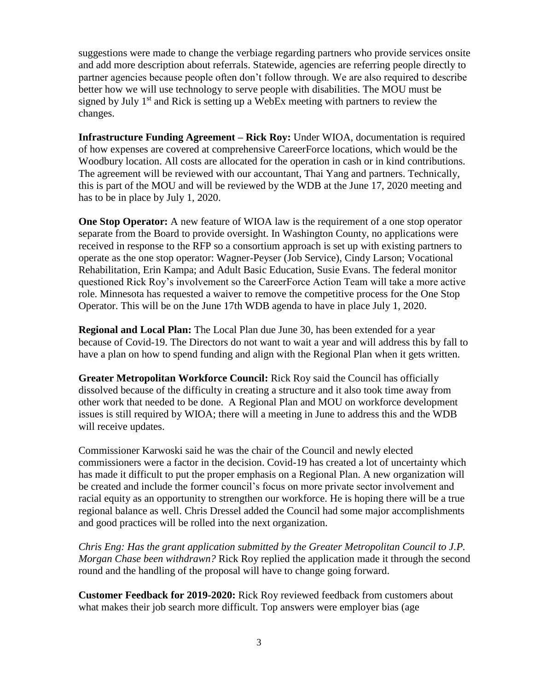suggestions were made to change the verbiage regarding partners who provide services onsite and add more description about referrals. Statewide, agencies are referring people directly to partner agencies because people often don't follow through. We are also required to describe better how we will use technology to serve people with disabilities. The MOU must be signed by July  $1<sup>st</sup>$  and Rick is setting up a WebEx meeting with partners to review the changes.

**Infrastructure Funding Agreement – Rick Roy:** Under WIOA, documentation is required of how expenses are covered at comprehensive CareerForce locations, which would be the Woodbury location. All costs are allocated for the operation in cash or in kind contributions. The agreement will be reviewed with our accountant, Thai Yang and partners. Technically, this is part of the MOU and will be reviewed by the WDB at the June 17, 2020 meeting and has to be in place by July 1, 2020.

**One Stop Operator:** A new feature of WIOA law is the requirement of a one stop operator separate from the Board to provide oversight. In Washington County, no applications were received in response to the RFP so a consortium approach is set up with existing partners to operate as the one stop operator: Wagner-Peyser (Job Service), Cindy Larson; Vocational Rehabilitation, Erin Kampa; and Adult Basic Education, Susie Evans. The federal monitor questioned Rick Roy's involvement so the CareerForce Action Team will take a more active role. Minnesota has requested a waiver to remove the competitive process for the One Stop Operator. This will be on the June 17th WDB agenda to have in place July 1, 2020.

**Regional and Local Plan:** The Local Plan due June 30, has been extended for a year because of Covid-19. The Directors do not want to wait a year and will address this by fall to have a plan on how to spend funding and align with the Regional Plan when it gets written.

**Greater Metropolitan Workforce Council:** Rick Roy said the Council has officially dissolved because of the difficulty in creating a structure and it also took time away from other work that needed to be done. A Regional Plan and MOU on workforce development issues is still required by WIOA; there will a meeting in June to address this and the WDB will receive updates.

Commissioner Karwoski said he was the chair of the Council and newly elected commissioners were a factor in the decision. Covid-19 has created a lot of uncertainty which has made it difficult to put the proper emphasis on a Regional Plan. A new organization will be created and include the former council's focus on more private sector involvement and racial equity as an opportunity to strengthen our workforce. He is hoping there will be a true regional balance as well. Chris Dressel added the Council had some major accomplishments and good practices will be rolled into the next organization.

*Chris Eng: Has the grant application submitted by the Greater Metropolitan Council to J.P. Morgan Chase been withdrawn?* Rick Roy replied the application made it through the second round and the handling of the proposal will have to change going forward.

**Customer Feedback for 2019-2020:** Rick Roy reviewed feedback from customers about what makes their job search more difficult. Top answers were employer bias (age